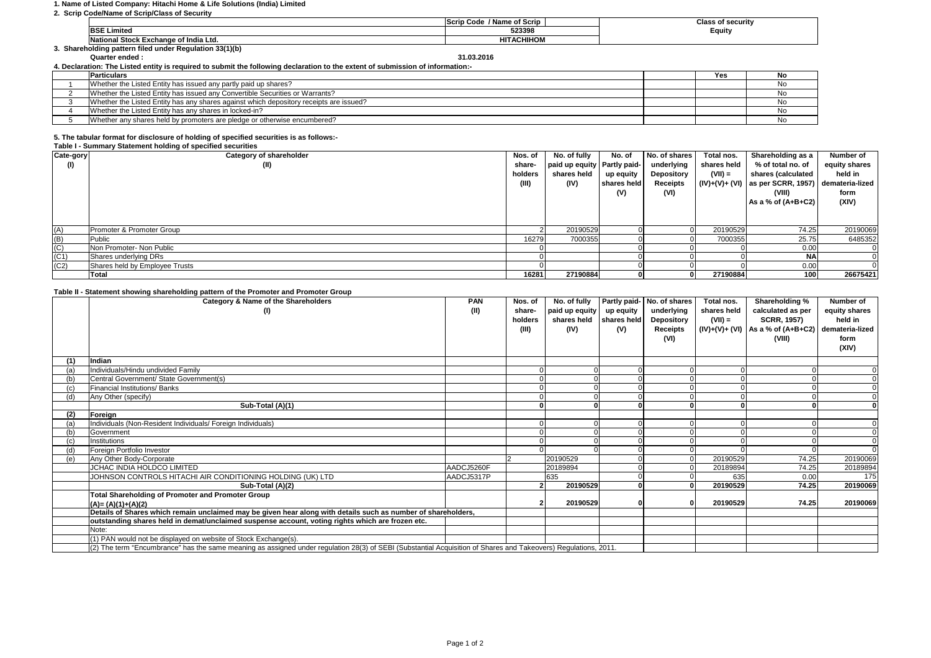#### **1. Name of Listed Company: Hitachi Home & Life Solutions (India) Limited**

| 2. Scrip Code/Name of Scrip/Class of Security |                                       |                           |                          |  |  |  |  |  |
|-----------------------------------------------|---------------------------------------|---------------------------|--------------------------|--|--|--|--|--|
|                                               |                                       | / Name of Scrip<br>າ Code | <b>Class of security</b> |  |  |  |  |  |
|                                               | <b>BSE Limited</b>                    | 523398                    | Equity                   |  |  |  |  |  |
|                                               | National Stock Exchange of India Ltd. | <b>HITACHIHOM</b>         |                          |  |  |  |  |  |

**National Stock Exchange of India Ltd. 3. Shareholding pattern filed under Regulation 33(1)(b)**

**Quarter ended : 31.03.2016**

| 4. Declaration: The Listed entity is required to submit the following declaration to the extent of submission of information:- |  |     |     |  |  |  |
|--------------------------------------------------------------------------------------------------------------------------------|--|-----|-----|--|--|--|
| <b>Particulars</b>                                                                                                             |  | Yes | No. |  |  |  |
| Whether the Listed Entity has issued any partly paid up shares?                                                                |  |     | No  |  |  |  |
| Whether the Listed Entity has issued any Convertible Securities or Warrants?                                                   |  |     | No. |  |  |  |
| Whether the Listed Entity has any shares against which depository receipts are issued?                                         |  |     | No. |  |  |  |
| Whether the Listed Entity has any shares in locked-in?                                                                         |  |     | No  |  |  |  |
| Whether any shares held by promoters are pledge or otherwise encumbered?                                                       |  |     | No  |  |  |  |

# **5. The tabular format for disclosure of holding of specified securities is as follows:-**

### **Table I - Summary Statement holding of specified securities**

|                   | Table 1 - Juliana y Jiatenient nolung or specified securities |         |                               |             |               |             |                                                     |               |
|-------------------|---------------------------------------------------------------|---------|-------------------------------|-------------|---------------|-------------|-----------------------------------------------------|---------------|
| Cate-gory         | Category of shareholder                                       | Nos. of | No. of fully                  | No. of      | No. of shares | Total nos.  | Shareholding as a                                   | Number of     |
| (1)               | (II)                                                          | share-  | paid up equity   Partly paid- |             | underlying    | shares held | % of total no. of                                   | equity shares |
|                   |                                                               | holders | shares held                   | up equity   | Depository    | $(VII) =$   | shares (calculated                                  | held in       |
|                   |                                                               | (III)   | (IV)                          | shares held | Receipts      |             | $(IV)+(V)+ (VI)$ as per SCRR, 1957) demateria-lized |               |
|                   |                                                               |         |                               | (V)         | (VI)          |             | (VIII)                                              | form          |
|                   |                                                               |         |                               |             |               |             | As a % of $(A+B+C2)$                                | (XIV)         |
|                   |                                                               |         |                               |             |               |             |                                                     |               |
|                   |                                                               |         |                               |             |               |             |                                                     |               |
| (A)               | Promoter & Promoter Group                                     |         | 20190529                      |             |               | 20190529    | 74.25                                               | 20190069      |
| $\frac{(B)}{(C)}$ | Public                                                        | 16279   | 7000355                       |             |               | 7000355     | 25.75                                               | 6485352       |
|                   | Non Promoter- Non Public                                      |         |                               |             |               |             | 0.00                                                |               |
| (C1)              | Shares underlying DRs                                         |         |                               |             |               |             | <b>NA</b>                                           |               |
| (C2)              | Shares held by Employee Trusts                                |         |                               |             |               |             | 0.00                                                |               |
|                   | Total                                                         | 16281   | 27190884                      |             |               | 27190884    | 100                                                 | 26675421      |

## **Table II - Statement showing shareholding pattern of the Promoter and Promoter Group**

|     | rable in • Statement Showing Shareholding pattern or the Fromoter and Fromoter Group<br>Category & Name of the Shareholders                                     | <b>PAN</b> | Nos. of | No. of fully   |             | Partly paid- No. of shares | Total nos.  | Shareholding %                                      | Number of     |
|-----|-----------------------------------------------------------------------------------------------------------------------------------------------------------------|------------|---------|----------------|-------------|----------------------------|-------------|-----------------------------------------------------|---------------|
|     | (1)                                                                                                                                                             | (II)       | share-  | paid up equity | up equity   | underlying                 | shares held | calculated as per                                   | equity shares |
|     |                                                                                                                                                                 |            | holders | shares held    | shares held | Depository                 | $(VII) =$   | <b>SCRR, 1957)</b>                                  | held in       |
|     |                                                                                                                                                                 |            | (III)   | (IV)           | (V)         | Receipts                   |             | $(IV)+(V)+(V)$ As a % of $(A+B+C2)$ demateria-lized |               |
|     |                                                                                                                                                                 |            |         |                |             | (VI)                       |             | (VIII)                                              | form          |
|     |                                                                                                                                                                 |            |         |                |             |                            |             |                                                     | (XIV)         |
|     |                                                                                                                                                                 |            |         |                |             |                            |             |                                                     |               |
|     | Indian                                                                                                                                                          |            |         |                |             |                            |             |                                                     |               |
|     | Individuals/Hindu undivided Family                                                                                                                              |            |         |                |             |                            |             |                                                     |               |
|     | Central Government/ State Government(s)                                                                                                                         |            |         |                |             |                            |             |                                                     |               |
|     | Financial Institutions/Banks                                                                                                                                    |            |         |                |             |                            |             |                                                     |               |
|     | Any Other (specify)                                                                                                                                             |            |         |                |             |                            |             |                                                     |               |
|     | Sub-Total (A)(1)                                                                                                                                                |            |         |                |             |                            |             |                                                     |               |
| (2) | Foreign                                                                                                                                                         |            |         |                |             |                            |             |                                                     |               |
|     | Individuals (Non-Resident Individuals/ Foreign Individuals)                                                                                                     |            |         |                |             |                            |             |                                                     |               |
|     | Government                                                                                                                                                      |            |         |                |             |                            |             |                                                     |               |
|     | Institutions                                                                                                                                                    |            |         |                |             |                            |             |                                                     |               |
|     | Foreian Portfolio Investor                                                                                                                                      |            |         |                |             |                            |             |                                                     |               |
| (e  | Any Other Body-Corporate                                                                                                                                        |            |         | 20190529       |             |                            | 20190529    | 74.25                                               | 20190069      |
|     | JCHAC INDIA HOLDCO LIMITED                                                                                                                                      | AADCJ5260F |         | 20189894       |             |                            | 20189894    | 74.25                                               | 20189894      |
|     | JOHNSON CONTROLS HITACHI AIR CONDITIONING HOLDING (UK) LTD                                                                                                      | AADCJ5317P |         | 635            |             |                            | 635         | 0.00                                                | 175           |
|     | Sub-Total (A)(2)                                                                                                                                                |            |         | 20190529       |             |                            | 20190529    | 74.25                                               | 20190069      |
|     | Total Shareholding of Promoter and Promoter Group                                                                                                               |            |         |                |             |                            |             |                                                     |               |
|     | $(A)=(A)(1)+(A)(2)$                                                                                                                                             |            |         | 20190529       |             |                            | 20190529    | 74.25                                               | 20190069      |
|     | Details of Shares which remain unclaimed may be given hear along with details such as number of shareholders,                                                   |            |         |                |             |                            |             |                                                     |               |
|     | outstanding shares held in demat/unclaimed suspense account, voting rights which are frozen etc.                                                                |            |         |                |             |                            |             |                                                     |               |
|     | Note:                                                                                                                                                           |            |         |                |             |                            |             |                                                     |               |
|     | (1) PAN would not be displayed on website of Stock Exchange(s).                                                                                                 |            |         |                |             |                            |             |                                                     |               |
|     | (2) The term "Encumbrance" has the same meaning as assigned under regulation 28(3) of SEBI (Substantial Acquisition of Shares and Takeovers) Regulations, 2011. |            |         |                |             |                            |             |                                                     |               |